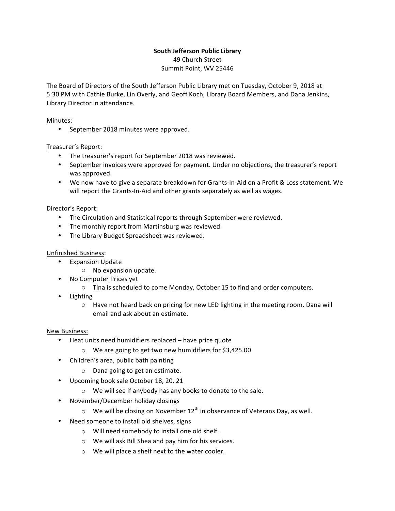# **South Jefferson Public Library**

49 Church Street Summit Point, WV 25446

The Board of Directors of the South Jefferson Public Library met on Tuesday, October 9, 2018 at 5:30 PM with Cathie Burke, Lin Overly, and Geoff Koch, Library Board Members, and Dana Jenkins, Library Director in attendance.

### Minutes:

• September 2018 minutes were approved.

# Treasurer's Report:

- The treasurer's report for September 2018 was reviewed.
- September invoices were approved for payment. Under no objections, the treasurer's report was approved.
- We now have to give a separate breakdown for Grants-In-Aid on a Profit & Loss statement. We will report the Grants-In-Aid and other grants separately as well as wages.

# Director's Report:

- The Circulation and Statistical reports through September were reviewed.
- The monthly report from Martinsburg was reviewed.
- The Library Budget Spreadsheet was reviewed.

### Unfinished Business:

- Expansion Update
	- $\circ$  No expansion update.
- No Computer Prices yet
	- $\circ$  Tina is scheduled to come Monday, October 15 to find and order computers.
- Lighting
	- $\circ$  Have not heard back on pricing for new LED lighting in the meeting room. Dana will email and ask about an estimate.

#### New Business:

- Heat units need humidifiers replaced have price quote
	- $\circ$  We are going to get two new humidifiers for \$3,425.00
- Children's area, public bath painting
	- $\circ$  Dana going to get an estimate.
- Upcoming book sale October 18, 20, 21
	- $\circ$  We will see if anybody has any books to donate to the sale.
- November/December holiday closings
	- $\circ$  We will be closing on November 12<sup>th</sup> in observance of Veterans Day, as well.
- Need someone to install old shelves, signs
	- $\circ$  Will need somebody to install one old shelf.
	- $\circ$  We will ask Bill Shea and pay him for his services.
	- $\circ$  We will place a shelf next to the water cooler.